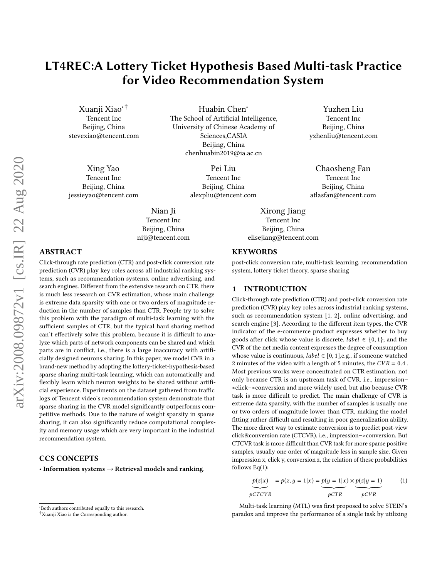# LT4REC:A Lottery Ticket Hypothesis Based Multi-task Practice for Video Recommendation System

Huabin Chen<sup>∗</sup>

Xuanji Xiao∗† Tencent Inc Beijing, China stevexiao@tencent.com

Xing Yao Tencent Inc Beijing, China jessieyao@tencent.com The School of Artificial Intelligence, University of Chinese Academy of Sciences,CASIA Beijing, China chenhuabin2019@ia.ac.cn

> Pei Liu Tencent Inc Beijing, China alexpliu@tencent.com

Nian Ji Tencent Inc Beijing, China niji@tencent.com

Yuzhen Liu Tencent Inc Beijing, China yzhenliu@tencent.com

Chaosheng Fan Tencent Inc Beijing, China atlasfan@tencent.com

Xirong Jiang Tencent Inc Beijing, China elisejiang@tencent.com

# ABSTRACT

Click-through rate prediction (CTR) and post-click conversion rate prediction (CVR) play key roles across all industrial ranking systems, such as recommendation systems, online advertising, and search engines. Different from the extensive research on CTR, there is much less research on CVR estimation, whose main challenge is extreme data sparsity with one or two orders of magnitude reduction in the number of samples than CTR. People try to solve this problem with the paradigm of multi-task learning with the sufficient samples of CTR, but the typical hard sharing method can't effectively solve this problem, because it is difficult to analyze which parts of network components can be shared and which parts are in conflict, i.e., there is a large inaccuracy with artificially designed neurons sharing. In this paper, we model CVR in a brand-new method by adopting the lottery-ticket-hypothesis-based sparse sharing multi-task learning, which can automatically and flexibly learn which neuron weights to be shared without artificial experience. Experiments on the dataset gathered from traffic logs of Tencent video's recommendation system demonstrate that sparse sharing in the CVR model significantly outperforms competitive methods. Due to the nature of weight sparsity in sparse sharing, it can also significantly reduce computational complexity and memory usage which are very important in the industrial recommendation system.

## CCS CONCEPTS

• Information systems  $\rightarrow$  Retrieval models and ranking.

#### **KEYWORDS**

post-click conversion rate, multi-task learning, recommendation system, lottery ticket theory, sparse sharing

## 1 INTRODUCTION

Click-through rate prediction (CTR) and post-click conversion rate prediction (CVR) play key roles across industrial ranking systems, such as recommendation system [\[1,](#page-5-0) [2\]](#page-5-1), online advertising, and search engine [\[3\]](#page-5-2). According to the different item types, the CVR indicator of the e-commerce product expresses whether to buy goods after click whose value is discrete, *label*  $\in \{0, 1\}$ ; and the CVR of the net media content expresses the degree of consumption whose value is continuous, *label*  $\in$  [0, 1], e.g., if someone watched 2 minutes of the video with a length of 5 minutes, the  $CVR = 0.4$ . Most previous works were concentrated on CTR estimation, not only because CTR is an upstream task of CVR, i.e., impression– >click–>conversion and more widely used, but also because CVR task is more difficult to predict. The main challenge of CVR is extreme data sparsity, with the number of samples is usually one or two orders of magnitude lower than CTR, making the model fitting rather difficult and resulting in poor generalization ability. The more direct way to estimate conversion is to predict post-view click&conversion rate (CTCVR), i.e., impression–>conversion. But CTCVR task is more difficult than CVR task for more sparse positive samples, usually one order of magnitude less in sample size. Given impression x, click y, conversion z, the relation of these probabilities follows  $Eq(1)$  $Eq(1)$ :

<span id="page-0-0"></span>
$$
p(z|x) = p(z, y = 1|x) = p(y = 1|x) \times p(z|y = 1)
$$
\n
$$
p \text{CT} \times \text{PC} \times \text{PC} \times \text{PC} \times \text{PC} \times \text{PC} \times \text{PC} \times \text{PC} \times \text{PC} \times \text{PC} \times \text{PC} \times \text{PC} \times \text{PC} \times \text{PC} \times \text{PC} \times \text{PC} \times \text{PC} \times \text{PC} \times \text{PC} \times \text{PC} \times \text{PC} \times \text{PC} \times \text{PC} \times \text{PC} \times \text{PC} \times \text{PC} \times \text{PC} \times \text{PC} \times \text{PC} \times \text{PC} \times \text{PC} \times \text{PC} \times \text{PC} \times \text{PC} \times \text{PC} \times \text{PC} \times \text{PC} \times \text{PC} \times \text{PC} \times \text{PC} \times \text{PC} \times \text{PC} \times \text{PC} \times \text{PC} \times \text{PC} \times \text{PC} \times \text{PC} \times \text{PC} \times \text{PC} \times \text{PC} \times \text{PC} \times \text{PC} \times \text{PC} \times \text{PC} \times \text{PC} \times \text{PC} \times \text{PC} \times \text{PC} \times \text{PC} \times \text{PC} \times \text{PC} \times \text{PC} \times \text{PC} \times \text{PC} \times \text{PC} \times \text{PC} \times \text{PC} \times \text{PC} \times \text{PC} \times \text{PC} \times \text{PC} \times \text{PC} \times \text{PC} \times \text{PC} \times \text{PC} \times \text{PC} \times \text{PC} \times \text{PC} \times \text{PC} \times \text{PC} \times \text{PC} \times \text{PC} \times \text{PC} \times \text{PC} \times \text{PC} \times \text{PC} \times \text{PC} \times \text{PC} \times \text{PC} \times \text{PC} \times \text{PC} \times \text{PC} \times \text{PC} \times \text{PC} \times \text{PC} \times \text{PC} \times \text{PC} \times \text{PC} \times \text{PC} \times \text{PC} \times \text{PC} \times \text{PC} \times \text{
$$

Multi-task learning (MTL) was first proposed to solve STEIN's paradox and improve the performance of a single task by utilizing

<sup>∗</sup>Both authors contributed equally to this research.

<sup>†</sup>Xuanji Xiao is the Corresponding author.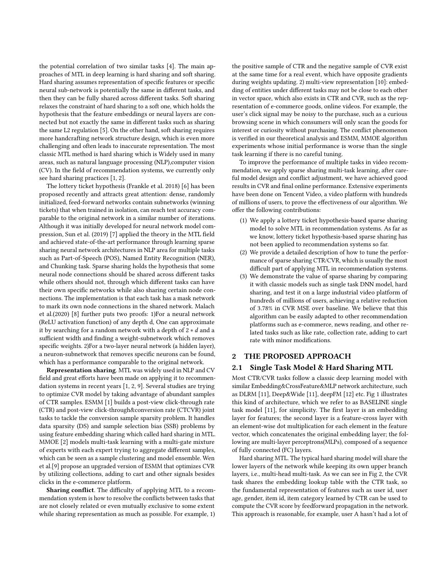the potential correlation of two similar tasks [\[4\]](#page-5-3). The main approaches of MTL in deep learning is hard sharing and soft sharing. Hard sharing assumes representation of specific features or specific neural sub-network is potentially the same in different tasks, and then they can be fully shared across different tasks. Soft sharing relaxes the constraint of hard sharing to a soft one, which holds the hypothesis that the feature embeddings or neural layers are connected but not exactly the same in different tasks such as sharing the same L2 regulation [\[5\]](#page-5-4). On the other hand, soft sharing requires more handcrafting network structure design, which is even more challenging and often leads to inaccurate representation. The most classic MTL method is hard sharing which is Widely used in many areas, such as natural language processing (NLP),computer vision (CV). In the field of recommendation systems, we currently only see hard sharing practices [\[1,](#page-5-0) [2\]](#page-5-1).

The lottery ticket hypothesis (Frankle et al. 2018) [\[6\]](#page-5-5) has been proposed recently and attracts great attention: dense, randomly initialized, feed-forward networks contain subnetworks (winning tickets) that when trained in isolation, can reach test accuracy comparable to the original network in a similar number of iterations. Although it was initially developed for neural network model compression, Sun et al. (2019) [\[7\]](#page-5-6) applied the theory in the MTL field and achieved state-of-the-art performance through learning sparse sharing neural network architectures in NLP area for multiple tasks such as Part-of-Speech (POS), Named Entity Recognition (NER), and Chunking task. Sparse sharing holds the hypothesis that some neural node connections should be shared across different tasks while others should not, through which different tasks can have their own specific networks while also sharing certain node connections. The implementation is that each task has a mask network to mark its own node connections in the shared network. Malach et al.(2020) [\[8\]](#page-5-7) further puts two proofs: 1)For a neural network (ReLU activation function) of any depth d, One can approximate it by searching for a random network with a depth of  $2 * d$  and a sufficient width and finding a weight-subnetwork which removes specific weights. 2)For a two-layer neural network (a hidden layer), a neuron-subnetwork that removes specific neurons can be found, which has a performance comparable to the original network.

Representation sharing. MTL was widely used in NLP and CV field and great efforts have been made on applying it to recommendation systems in recent years [\[1,](#page-5-0) [2,](#page-5-1) [9\]](#page-5-8). Several studies are trying to optimize CVR model by taking advantage of abundant samples of CTR samples. ESMM [\[1\]](#page-5-0) builds a post-view click-through rate (CTR) and post-view click-through&conversion rate (CTCVR) joint tasks to tackle the conversion sample sparsity problem. It handles data sparsity (DS) and sample selection bias (SSB) problems by using feature embedding sharing which called hard sharing in MTL. MMOE [\[2\]](#page-5-1) models multi-task learning with a multi-gate mixture of experts with each expert trying to aggregate different samples, which can be seen as a sample clustering and model ensemble. Wen et al.[\[9\]](#page-5-8) propose an upgraded version of ESMM that optimizes CVR by utilizing collections, adding to cart and other signals besides clicks in the e-commerce platform.

Sharing conflict. The difficulty of applying MTL to a recommendation system is how to resolve the conflicts between tasks that are not closely related or even mutually exclusive to some extent while sharing representation as much as possible. For example, 1)

the positive sample of CTR and the negative sample of CVR exist at the same time for a real event, which have opposite gradients during weights updating. 2) multi-view representation [\[10\]](#page-5-9): embedding of entities under different tasks may not be close to each other in vector space, which also exists in CTR and CVR, such as the representation of e-commerce goods, online videos. For example, the user's click signal may be noisy to the purchase, such as a curious browsing scene in which consumers will only scan the goods for interest or curiosity without purchasing. The conflict phenomenon is verified in our theoretical analysis and ESMM, MMOE algorithm experiments whose initial performance is worse than the single task learning if there is no careful tuning.

To improve the performance of multiple tasks in video recommendation, we apply sparse sharing multi-task learning, after careful model design and conflict adjustment, we have achieved good results in CVR and final online performance. Extensive experiments have been done on Tencent Video, a video platform with hundreds of millions of users, to prove the effectiveness of our algorithm. We offer the following contributions:

- (1) We apply a lottery ticket hypothesis-based sparse sharing model to solve MTL in recommendation systems. As far as we know, lottery ticket hypothesis-based sparse sharing has not been applied to recommendation systems so far.
- (2) We provide a detailed description of how to tune the performance of sparse sharing CTR/CVR, which is usually the most difficult part of applying MTL in recommendation systems.
- (3) We demonstrate the value of sparse sharing by comparing it with classic models such as single task DNN model, hard sharing, and test it on a large industrial video platform of hundreds of millions of users, achieving a relative reduction of 3.78% in CVR MSE over baseline. We believe that this algorithm can be easily adapted to other recommendation platforms such as e-commerce, news reading, and other related tasks such as like rate, collection rate, adding to cart rate with minor modifications.

## 2 THE PROPOSED APPROACH

# 2.1 Single Task Model & Hard Sharing MTL

Most CTR/CVR tasks follow a classic deep learning model with similar Embedding&CrossFeature&MLP network architecture, such as DLRM [\[11\]](#page-5-10), Deep&Wide [\[11\]](#page-5-10), deepFM [\[12\]](#page-5-11) etc. Fig 1 illustrates this kind of architecture, which we refer to as BASELINE single task model [\[11\]](#page-5-10), for simplicity. The first layer is an embedding layer for features; the second layer is a feature-cross layer with an element-wise dot multiplication for each element in the feature vector, which concatenates the original embedding layer; the following are multi-layer perceptrons(MLPs), composed of a sequence of fully connected (FC) layers.

Hard sharing MTL. The typical hard sharing model will share the lower layers of the network while keeping its own upper branch layers, i.e., multi-head multi-task. As we can see in Fig 2, the CVR task shares the embedding lookup table with the CTR task, so the fundamental representation of features such as user id, user age, gender, item id, item category learned by CTR can be used to compute the CVR score by feedforward propagation in the network. This approach is reasonable, for example, user A hasn't had a lot of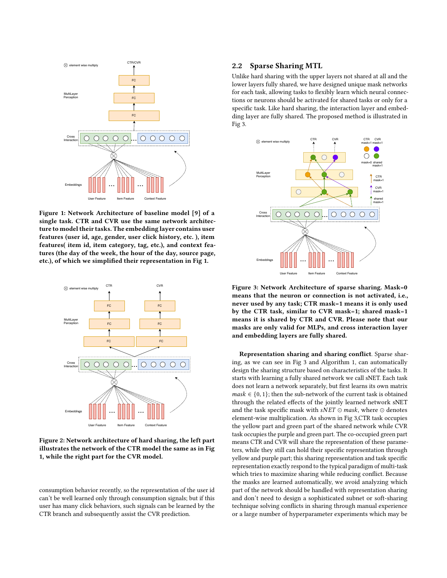

Figure 1: Network Architecture of baseline model [9] of a single task. CTR and CVR use the same network architecture to model their tasks. The embedding layer contains user features (user id, age, gender, user click history, etc. ), item features( item id, item category, tag, etc.), and context features (the day of the week, the hour of the day, source page, etc.), of which we simplified their representation in Fig 1.



Figure 2: Network architecture of hard sharing, the left part illustrates the network of the CTR model the same as in Fig 1, while the right part for the CVR model.

consumption behavior recently, so the representation of the user id can't be well learned only through consumption signals; but if this user has many click behaviors, such signals can be learned by the CTR branch and subsequently assist the CVR prediction.

## 2.2 Sparse Sharing MTL

Unlike hard sharing with the upper layers not shared at all and the lower layers fully shared, we have designed unique mask networks for each task, allowing tasks to flexibly learn which neural connections or neurons should be activated for shared tasks or only for a specific task. Like hard sharing, the interaction layer and embedding layer are fully shared. The proposed method is illustrated in Fig 3.



Figure 3: Network Architecture of sparse sharing. Mask=0 means that the neuron or connection is not activated, i.e., never used by any task; CTR mask=1 means it is only used by the CTR task, similar to CVR mask=1; shared mask=1 means it is shared by CTR and CVR. Please note that our masks are only valid for MLPs, and cross interaction layer and embedding layers are fully shared.

Representation sharing and sharing conflict. Sparse sharing, as we can see in Fig 3 and Algorithm 1, can automatically design the sharing structure based on characteristics of the tasks. It starts with learning a fully shared network we call sNET. Each task does not learn a network separately, but first learns its own matrix  $mask \in \{0, 1\}$ ; then the sub-network of the current task is obtained through the related effects of the jointly learned network sNET and the task specific mask with sNET  $\odot$  mask, where  $\odot$  denotes element-wise multiplication. As shown in Fig 3,CTR task occupies the yellow part and green part of the shared network while CVR task occupies the purple and green part. The co-occupied green part means CTR and CVR will share the representation of these parameters, while they still can hold their specific representation through yellow and purple part; this sharing representation and task specific representation exactly respond to the typical paradigm of multi-task which tries to maximize sharing while reducing conflict. Because the masks are learned automatically, we avoid analyzing which part of the network should be handled with representation sharing and don't need to design a sophisticated subnet or soft-sharing technique solving conflicts in sharing through manual experience or a large number of hyperparameter experiments which may be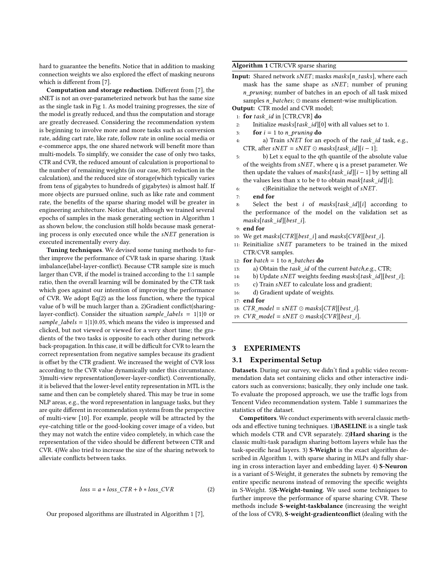hard to guarantee the benefits. Notice that in addition to masking connection weights we also explored the effect of masking neurons which is different from [\[7\]](#page-5-6).

Computation and storage reduction. Different from [\[7\]](#page-5-6), the sNET is not an over-parameterized network but has the same size as the single task in Fig 1. As model training progresses, the size of the model is greatly reduced, and thus the computation and storage are greatly decreased. Considering the recommendation system is beginning to involve more and more tasks such as conversion rate, adding cart rate, like rate, follow rate in online social media or e-commerce apps, the one shared network will benefit more than multi-models. To simplify, we consider the case of only two tasks, CTR and CVR, the reduced amount of calculation is proportional to the number of remaining weights (in our case, 80% reduction in the calculation), and the reduced size of storage(which typically varies from tens of gigabytes to hundreds of gigabytes) is almost half. If more objects are pursued online, such as like rate and comment rate, the benefits of the sparse sharing model will be greater in engineering architecture. Notice that, although we trained several epochs of samples in the mask generating section in Algorithm 1 as shown below, the conclusion still holds because mask generating process is only executed once while the  $sNET$  generation is executed incrementally every day.

Tuning techniques. We devised some tuning methods to further improve the performance of CVR task in sparse sharing. 1)task imbalance(label-layer-conflict). Because CTR sample size is much larger than CVR, if the model is trained according to the 1:1 sample ratio, then the overall learning will be dominated by the CTR task which goes against our intention of improving the performance of CVR. We adopt Eq[\(2\)](#page-3-0) as the loss function, where the typical value of b will be much larger than a. 2)Gradient conflict(sharinglayer-conflict). Consider the situation sample labels =  $1|1|0$  or sample\_labels =  $1|1|0.05$ , which means the video is impressed and clicked, but not viewed or viewed for a very short time; the gradients of the two tasks is opposite to each other during network back-propagation. In this case, it will be difficult for CVR to learn the correct representation from negative samples because its gradient is offset by the CTR gradient. We increased the weight of CVR loss according to the CVR value dynamically under this circumstance. 3)multi-view representation(lower-layer-conflict). Conventionally, it is believed that the lower-level entity representation in MTL is the same and then can be completely shared. This may be true in some NLP areas, e.g., the word representation in language tasks, but they are quite different in recommendation systems from the perspective of multi-view [\[10\]](#page-5-9). For example, people will be attracted by the eye-catching title or the good-looking cover image of a video, but they may not watch the entire video completely, in which case the representation of the video should be different between CTR and CVR. 4)We also tried to increase the size of the sharing network to alleviate conflicts between tasks.

<span id="page-3-0"></span>
$$
loss = a * loss_CTR + b * loss_CVR
$$
 (2)

Our proposed algorithms are illustrated in Algorithm 1 [\[7\]](#page-5-6),

## Algorithm 1 CTR/CVR sparse sharing

Input: Shared network sNET; masks masks[n\_tasks], where each mask has the same shape as  $sNET$ ; number of pruning n pruning; number of batches in an epoch of all task mixed samples n\_batches; <sup>⊙</sup> means element-wise multiplication.

Output: CTR model and CVR model;

- 1: for  $task\_id$  in [CTR,CVR] do<br>2: Initialize masks[task id][0]
- 2: Initialize *masks*[*task\_id*][0] with all values set to 1.<br>3: **for**  $i = 1$  to *n* pruning **do**
- 3: **for**  $i = 1$  to *n\_pruning* **do**<br>4. **a)** Train *sNET* for an
- a) Train sNET for an epoch of the task\_id task, e.g., CTR, after sNET = sNET  $\odot$  masks[task\_id][i - 1];
- 5: b) Let x equal to the qth quantile of the absolute value of the weights from  $sNET$ , where q is a preset parameter. We then update the values of masks[task\_id][i – 1] by setting all the values less than x to be 0 to obtain mask[task\_id][i];
- 6: c)Reinitialize the network weight of *sNET*.<br>  $\sigma$  **end for**
- end for
- Select the best i of masks[task\_id][i] according to the performance of the model on the validation set as  $mask$ [task\_id][best\_i].
- 9: end for
- 10: We get masks[CTR][best\_i] and masks[CVR][best\_i].
- $11:$  Reinitialize  $sNET$  parameters to be trained in the mixed CTR/CVR samples.
- 12: **for** *batch* = 1 to *n\_batches* **do**<br>13: a) Obtain the *task id* of the
- 13: a) Obtain the *task\_id* of the current *batch*,e.g., CTR;<br>14: b) Undate *sNET* weights feeding masks[task\_id][bes
- 14: b) Update sNET weights feeding masks[task\_id][best\_i];<br>15: c) Train sNET to calculate loss and gradient:
- 15: c) Train  $sNET$  to calculate loss and gradient;<br>16: d) Gradient update of weights.
- d) Gradient update of weights.
- 17: end for
- 18: CTR model = sNET  $\odot$  masks[CTR][best i].
- 19:  $CVR_model = sNET \odot masks[CVR][best_i].$

## 3 EXPERIMENTS

## 3.1 Experimental Setup

Datasets. During our survey, we didn't find a public video recommendation data set containing clicks and other interactive indicators such as conversions; basically, they only include one task. To evaluate the proposed approach, we use the traffic logs from Tencent Video recommendation system. Table 1 summarizes the statistics of the dataset.

Competitors. We conduct experiments with several classic methods and effective tuning techniques. 1)BASELINE is a single task which models CTR and CVR separately. 2)Hard sharing is the classic multi-task paradigm sharing bottom layers while has the task-specific head layers. 3) S-Weight is the exact algorithm described in Algorithm 1, with sparse sharing in MLPs and fully sharing in cross interaction layer and embedding layer. 4) S-Neuron is a variant of S-Weight, it generates the subnets by removing the entire specific neurons instead of removing the specific weights in S-Weight. 5)S-Weight-tuning. We used some techniques to further improve the performance of sparse sharing CVR. These methods include S-weight-taskbalance (increasing the weight of the loss of CVR), S-weight-gradientconflict (dealing with the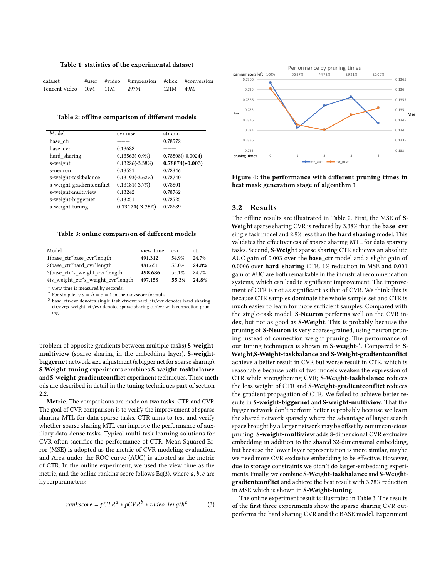Table 1: statistics of the experimental dataset

| dataset                    |  | #user #video #impression #click #conversion |            |  |
|----------------------------|--|---------------------------------------------|------------|--|
| Tencent Video 10M 11M 297M |  |                                             | $121M$ 49M |  |

Table 2: offline comparison of different models

| Model                     | cvr mse            | ctr auc            |
|---------------------------|--------------------|--------------------|
| base ctr                  |                    | 0.78572            |
| base cvr                  | 0.13688            |                    |
| hard sharing              | $0.13563(-0.9\%)$  | $0.78808(+0.0024)$ |
| s-weight                  | $0.13226(-3.38\%)$ | $0.78874(+0.003)$  |
| s-neuron                  | 0.13531            | 0.78346            |
| s-weight-taskbalance      | $0.13193(-3.62\%)$ | 0.78740            |
| s-weight-gradientconflict | $0.13181(-3.7\%)$  | 0.78801            |
| s-weight-multiview        | 0.13242            | 0.78762            |
| s-weight-biggernet        | 0.13251            | 0.78525            |
| s-weight-tuning           | $0.13171(-3.78%)$  | 0.78689            |

<span id="page-4-1"></span>Table 3: online comparison of different models

| Model                                                     | view time | cvr   | ctr   |
|-----------------------------------------------------------|-----------|-------|-------|
| 1) base ctr*base cvr*length                               | 491.312   | 54 9% | 24 7% |
| 2) base ctr*hard cvr*length                               | 481.651   | 55.0% | 24.8% |
| 3) base ctr <sup>*</sup> s weight cvr <sup>*</sup> length | 498.686   | 55 1% | 24 7% |
| 4)s_weight_ctr*s_weight_cvr*length                        | 497.158   | 55.3% | 24.8% |
|                                                           |           |       |       |

<sup>1</sup> view time is measured by seconds.

<sup>2</sup> For simplicity, $a = b = c = 1$  in the rankscore formula.

<sup>3</sup> base\_ctr/cvr denotes single task ctr/cvr;hard\_ctr/cvr denotes hard sharing ctr/cvr;s\_weight\_ctr/cvr denotes sparse sharing ctr/cvr with connection pruning.

problem of opposite gradients between multiple tasks), S-weightmultiview (sparse sharing in the embedding layer), S-weightbiggernet network size adjustment (a bigger net for sparse sharing). S-Weight-tuning experiments combines S-weight-taskbalance and S-weight-gradientconflict experiment techniques. These methods are described in detail in the tuning techniques part of section 2.2.

Metric. The comparisons are made on two tasks, CTR and CVR. The goal of CVR comparison is to verify the improvement of sparse sharing MTL for data-sparse tasks. CTR aims to test and verify whether sparse sharing MTL can improve the performance of auxiliary data-dense tasks. Typical multi-task learning solutions for CVR often sacrifice the performance of CTR. Mean Squared Error (MSE) is adopted as the metric of CVR modeling evaluation, and Area under the ROC curve (AUC) is adopted as the metric of CTR. In the online experiment, we used the view time as the metric, and the online ranking score follows Eq[\(3\)](#page-4-0), where  $a, b, c$  are hyperparameters:

<span id="page-4-0"></span>
$$
rankscore = pCTRa * pCVRb * video_lengthc \t(3)
$$



Figure 4: the performance with different pruning times in best mask generation stage of algorithm 1

## 3.2 Results

The offline results are illustrated in Table 2. First, the MSE of S-Weight sparse sharing CVR is reduced by 3.38% than the base\_cvr single task model and 2.9% less than the hard sharing model. This validates the effectiveness of sparse sharing MTL for data sparsity tasks. Second, S-Weight sparse sharing CTR achieves an absolute AUC gain of 0.003 over the **base** ctr model and a slight gain of 0.0006 over hard sharing CTR. 1% reduction in MSE and 0.001 gain of AUC are both remarkable in the industrial recommendation systems, which can lead to significant improvement. The improvement of CTR is not as significant as that of CVR. We think this is because CTR samples dominate the whole sample set and CTR is much easier to learn for more sufficient samples. Compared with the single-task model, S-Neuron performs well on the CVR index, but not as good as S-Weight. This is probably because the pruning of S-Neuron is very coarse-grained, using neuron pruning instead of connection weight pruning. The performance of our tuning techniques is shown in S-weight-\*. Compared to S-Weight,S-Weight-taskbalance and S-Weight-gradientconflict achieve a better result in CVR but worse result in CTR, which is reasonable because both of two models weaken the expression of CTR while strengthening CVR; S-Weight-taskbalance reduces the loss weight of CTR and S-Weight-gradientconflict reduces the gradient propagation of CTR. We failed to achieve better results in S-weight-biggernet and S-weight-multiview. That the bigger network don't perform better is probably because we learn the shared network sparsely where the advantage of larger search space brought by a larger network may be offset by our unconscious pruning. S-weight-multiview adds 8-dimensional CVR exclusive embedding in addition to the shared 32-dimensional embedding, but because the lower layer representation is more similar, maybe we need more CVR exclusive embedding to be effective. However, due to storage constraints we didn't do larger-embedding experiments. Finally, we combine S-Weight-taskbalance and S-Weightgradientconflict and achieve the best result with 3.78% reduction in MSE which is shown in S-Weight-tuning.

The online experiment result is illustrated in Table [3.](#page-4-1) The results of the first three experiments show the sparse sharing CVR outperforms the hard sharing CVR and the BASE model. Experiment